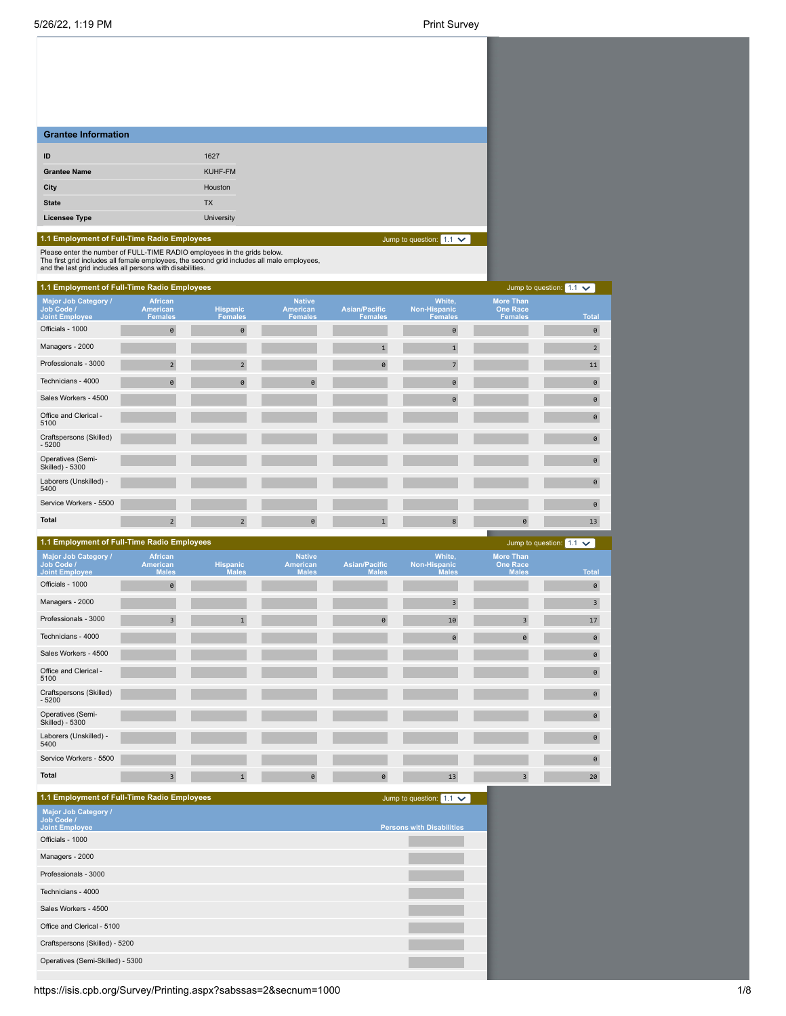| <b>Grantee Information</b> |            |
|----------------------------|------------|
| ID                         | 1627       |
| <b>Grantee Name</b>        | KUHF-FM    |
| City                       | Houston    |
| <b>State</b>               | <b>TX</b>  |
| <b>Licensee Type</b>       | University |

# **1.1 Employment of Full-Time Radio Employees**

Jump to question:  $1.1 \times$ 

Please enter the number of FULL-TIME RADIO employees in the grids below.<br>The first grid includes all female employees, the second grid includes all male employees,<br>and the last grid includes all persons with disabilities.

| 1.1 Employment of Full-Time Radio Employees                        |                                              |                                   |                                             |                                        |                                          |                                                       | Jump to question: $1.1 \times$ |
|--------------------------------------------------------------------|----------------------------------------------|-----------------------------------|---------------------------------------------|----------------------------------------|------------------------------------------|-------------------------------------------------------|--------------------------------|
| <b>Major Job Category /</b><br>Job Code /<br><b>Joint Employee</b> | <b>African</b><br>American<br><b>Females</b> | <b>Hispanic</b><br><b>Females</b> | <b>Native</b><br>American<br><b>Females</b> | <b>Asian/Pacific</b><br><b>Females</b> | White,<br>Non-Hispanic<br><b>Females</b> | <b>More Than</b><br><b>One Race</b><br><b>Females</b> | <b>Total</b>                   |
| Officials - 1000                                                   | $\theta$                                     | $\theta$                          |                                             |                                        | $\Theta$                                 |                                                       | $\theta$                       |
| Managers - 2000                                                    |                                              |                                   |                                             | $\mathbf{1}$                           | $\mathbf{1}$                             |                                                       | $\overline{2}$                 |
| Professionals - 3000                                               | $\overline{2}$                               | $\overline{2}$                    |                                             | $\theta$                               | $\overline{7}$                           |                                                       | 11                             |
| Technicians - 4000                                                 | $\theta$                                     | $\theta$                          | $\theta$                                    |                                        | 0                                        |                                                       | $\theta$                       |
| Sales Workers - 4500                                               |                                              |                                   |                                             |                                        | $\theta$                                 |                                                       | $\theta$                       |
| Office and Clerical -<br>5100                                      |                                              |                                   |                                             |                                        |                                          |                                                       | $\theta$                       |
| Craftspersons (Skilled)<br>$-5200$                                 |                                              |                                   |                                             |                                        |                                          |                                                       | $\theta$                       |
| Operatives (Semi-<br>Skilled) - 5300                               |                                              |                                   |                                             |                                        |                                          |                                                       | $\theta$                       |
| Laborers (Unskilled) -<br>5400                                     |                                              |                                   |                                             |                                        |                                          |                                                       | $\theta$                       |
| Service Workers - 5500                                             |                                              |                                   |                                             |                                        |                                          |                                                       | $\theta$                       |
| <b>Total</b>                                                       | $\overline{2}$                               | $\overline{2}$                    | $\theta$                                    | $\mathbf{1}$                           | 8                                        | 0                                                     | 13                             |

| 1.1 Employment of Full-Time Radio Employees          |                                            |                                 |                                           |                                      |                                               |                                                     | Jump to question: $1.1 \times$ |
|------------------------------------------------------|--------------------------------------------|---------------------------------|-------------------------------------------|--------------------------------------|-----------------------------------------------|-----------------------------------------------------|--------------------------------|
| Major Job Category /<br>Job Code /<br>Joint Employee | <b>African</b><br>American<br><b>Males</b> | <b>Hispanic</b><br><b>Males</b> | <b>Native</b><br>American<br><b>Males</b> | <b>Asian/Pacific</b><br><b>Males</b> | White,<br><b>Non-Hispanic</b><br><b>Males</b> | <b>More Than</b><br><b>One Race</b><br><b>Males</b> | <b>Total</b>                   |
| Officials - 1000                                     | $\theta$                                   |                                 |                                           |                                      |                                               |                                                     | $\theta$                       |
| Managers - 2000                                      |                                            |                                 |                                           |                                      | $\overline{\mathbf{3}}$                       |                                                     | $\overline{3}$                 |
| Professionals - 3000                                 | $\overline{3}$                             | $\mathbf{1}$                    |                                           | $\theta$                             | 10                                            | $\overline{\mathbf{3}}$                             | 17                             |
| Technicians - 4000                                   |                                            |                                 |                                           |                                      | $\theta$                                      | $\theta$                                            | $\theta$                       |
| Sales Workers - 4500                                 |                                            |                                 |                                           |                                      |                                               |                                                     | $\theta$                       |
| Office and Clerical -<br>5100                        |                                            |                                 |                                           |                                      |                                               |                                                     | $\theta$                       |
| Craftspersons (Skilled)<br>$-5200$                   |                                            |                                 |                                           |                                      |                                               |                                                     | $\theta$                       |
| Operatives (Semi-<br>Skilled) - 5300                 |                                            |                                 |                                           |                                      |                                               |                                                     | $\theta$                       |
| Laborers (Unskilled) -<br>5400                       |                                            |                                 |                                           |                                      |                                               |                                                     | $\theta$                       |
| Service Workers - 5500                               |                                            |                                 |                                           |                                      |                                               |                                                     | $\theta$                       |
| <b>Total</b>                                         | $\overline{3}$                             | $\mathbf{1}$                    | 0                                         | $\theta$                             | 13                                            | $\overline{3}$                                      | 20                             |

| 1.1 Employment of Full-Time Radio Employees                        | Jump to question: $1.1 \times$   |
|--------------------------------------------------------------------|----------------------------------|
| <b>Major Job Category /</b><br>Job Code /<br><b>Joint Employee</b> | <b>Persons with Disabilities</b> |
| Officials - 1000                                                   |                                  |
| Managers - 2000                                                    |                                  |
| Professionals - 3000                                               |                                  |
| Technicians - 4000                                                 |                                  |
| Sales Workers - 4500                                               |                                  |
| Office and Clerical - 5100                                         |                                  |
| Craftspersons (Skilled) - 5200                                     |                                  |
| Operatives (Semi-Skilled) - 5300                                   |                                  |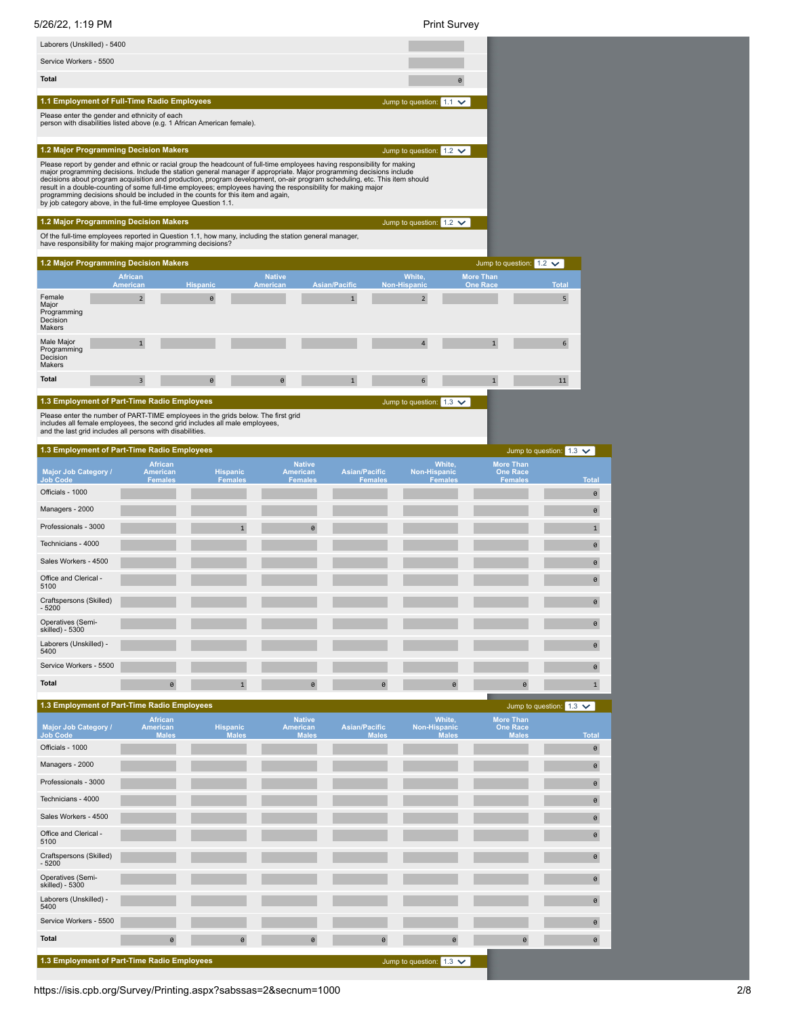| 5/26/22, 1:19 PM                                                                                                                                                                                                                                                                                                                                                                                                                                                                                                                                                                                                                                                                             |                                   |                                     |                          |                                                  |                      |                                      | <b>Print Survey</b>                           |                                     |                                                   |                   |
|----------------------------------------------------------------------------------------------------------------------------------------------------------------------------------------------------------------------------------------------------------------------------------------------------------------------------------------------------------------------------------------------------------------------------------------------------------------------------------------------------------------------------------------------------------------------------------------------------------------------------------------------------------------------------------------------|-----------------------------------|-------------------------------------|--------------------------|--------------------------------------------------|----------------------|--------------------------------------|-----------------------------------------------|-------------------------------------|---------------------------------------------------|-------------------|
| Laborers (Unskilled) - 5400                                                                                                                                                                                                                                                                                                                                                                                                                                                                                                                                                                                                                                                                  |                                   |                                     |                          |                                                  |                      |                                      |                                               |                                     |                                                   |                   |
| Service Workers - 5500                                                                                                                                                                                                                                                                                                                                                                                                                                                                                                                                                                                                                                                                       |                                   |                                     |                          |                                                  |                      |                                      |                                               |                                     |                                                   |                   |
| <b>Total</b>                                                                                                                                                                                                                                                                                                                                                                                                                                                                                                                                                                                                                                                                                 |                                   |                                     |                          |                                                  |                      |                                      | 0                                             |                                     |                                                   |                   |
| 1.1 Employment of Full-Time Radio Employees                                                                                                                                                                                                                                                                                                                                                                                                                                                                                                                                                                                                                                                  |                                   |                                     |                          |                                                  |                      |                                      | Jump to question: $1.1 \times$                |                                     |                                                   |                   |
| Please enter the gender and ethnicity of each<br>person with disabilities listed above (e.g. 1 African American female).                                                                                                                                                                                                                                                                                                                                                                                                                                                                                                                                                                     |                                   |                                     |                          |                                                  |                      |                                      |                                               |                                     |                                                   |                   |
| 1.2 Major Programming Decision Makers                                                                                                                                                                                                                                                                                                                                                                                                                                                                                                                                                                                                                                                        |                                   |                                     |                          |                                                  |                      |                                      | Jump to question: $1.2 \times$                |                                     |                                                   |                   |
| Please report by gender and ethnic or racial group the headcount of full-time employees having responsibility for making<br>major programming decisions. Include the station general manager if appropriate. Major programming decisions include<br>decisions about program acquisition and production, program development, on-air program scheduling, etc. This item should<br>result in a double-counting of some full-time employees; employees having the responsibility for making major<br>programming decisions should be included in the counts for this item and again,<br>by job category above, in the full-time employee Question 1.1.<br>1.2 Major Programming Decision Makers |                                   |                                     |                          |                                                  |                      |                                      | Jump to question: $1.2 \times$                |                                     |                                                   |                   |
| Of the full-time employees reported in Question 1.1, how many, including the station general manager,<br>have responsibility for making major programming decisions?                                                                                                                                                                                                                                                                                                                                                                                                                                                                                                                         |                                   |                                     |                          |                                                  |                      |                                      |                                               |                                     |                                                   |                   |
| 1.2 Major Programming Decision Makers                                                                                                                                                                                                                                                                                                                                                                                                                                                                                                                                                                                                                                                        |                                   |                                     |                          |                                                  |                      |                                      |                                               |                                     | Jump to question: $1.2 \times$                    |                   |
|                                                                                                                                                                                                                                                                                                                                                                                                                                                                                                                                                                                                                                                                                              | <b>African</b><br><b>American</b> |                                     | <b>Hispanic</b>          | <b>Native</b><br>American                        | <b>Asian/Pacific</b> |                                      | White,<br><b>Non-Hispanic</b>                 | <b>More Than</b><br><b>One Race</b> | <b>Total</b>                                      |                   |
| Female<br>Major<br>Programming<br>Decision<br>Makers                                                                                                                                                                                                                                                                                                                                                                                                                                                                                                                                                                                                                                         | $\overline{2}$                    |                                     | 0                        |                                                  | $\mathbf 1$          |                                      | $\overline{2}$                                |                                     |                                                   | 5                 |
| Male Major<br>Programming<br>Decision<br>Makers                                                                                                                                                                                                                                                                                                                                                                                                                                                                                                                                                                                                                                              | $\mathbf{1}$                      |                                     |                          |                                                  |                      |                                      | $\overline{4}$                                | $\mathbf{1}$                        |                                                   | 6                 |
| <b>Total</b>                                                                                                                                                                                                                                                                                                                                                                                                                                                                                                                                                                                                                                                                                 | 3                                 |                                     | 0                        | 0                                                | $\mathbf 1$          |                                      | 6                                             | $\mathbf{1}$                        | 11                                                |                   |
| 1.3 Employment of Part-Time Radio Employees<br><b>Major Job Category /</b>                                                                                                                                                                                                                                                                                                                                                                                                                                                                                                                                                                                                                   |                                   | <b>African</b><br>American          | <b>Hispanic</b>          | <b>Native</b><br><b>American</b>                 |                      | <b>Asian/Pacific</b>                 | White,<br>Non-Hispanic                        | <b>More Than</b>                    | Jump to question: $1.3 \times$<br><b>One Race</b> |                   |
| Job Code<br>Officials - 1000                                                                                                                                                                                                                                                                                                                                                                                                                                                                                                                                                                                                                                                                 |                                   | <b>Females</b>                      | <b>Females</b>           | Females                                          |                      | Females                              | Females                                       |                                     | <b>Females</b>                                    | <b>Total</b><br>0 |
| Managers - 2000                                                                                                                                                                                                                                                                                                                                                                                                                                                                                                                                                                                                                                                                              |                                   |                                     |                          |                                                  |                      |                                      |                                               |                                     |                                                   | 0                 |
| Professionals - 3000                                                                                                                                                                                                                                                                                                                                                                                                                                                                                                                                                                                                                                                                         |                                   |                                     |                          |                                                  | 0                    |                                      |                                               |                                     |                                                   | $\mathbf 1$       |
| Technicians - 4000                                                                                                                                                                                                                                                                                                                                                                                                                                                                                                                                                                                                                                                                           |                                   |                                     |                          |                                                  |                      |                                      |                                               |                                     |                                                   | 0                 |
| Sales Workers - 4500                                                                                                                                                                                                                                                                                                                                                                                                                                                                                                                                                                                                                                                                         |                                   |                                     |                          |                                                  |                      |                                      |                                               |                                     |                                                   | 0                 |
| Office and Clerical -<br>5100                                                                                                                                                                                                                                                                                                                                                                                                                                                                                                                                                                                                                                                                |                                   |                                     |                          |                                                  |                      |                                      |                                               |                                     |                                                   | 0                 |
| Craftspersons (Skilled)<br>$-5200$                                                                                                                                                                                                                                                                                                                                                                                                                                                                                                                                                                                                                                                           |                                   |                                     |                          |                                                  |                      |                                      |                                               |                                     |                                                   | 0                 |
| Operatives (Semi-<br>skilled) - 5300                                                                                                                                                                                                                                                                                                                                                                                                                                                                                                                                                                                                                                                         |                                   |                                     |                          |                                                  |                      |                                      |                                               |                                     |                                                   | $\pmb{\Theta}$    |
| Laborers (Unskilled) -<br>5400                                                                                                                                                                                                                                                                                                                                                                                                                                                                                                                                                                                                                                                               |                                   |                                     |                          |                                                  |                      |                                      |                                               |                                     |                                                   | $\Theta$          |
| Service Workers - 5500                                                                                                                                                                                                                                                                                                                                                                                                                                                                                                                                                                                                                                                                       |                                   |                                     |                          |                                                  |                      |                                      |                                               |                                     |                                                   | 0                 |
| <b>Total</b>                                                                                                                                                                                                                                                                                                                                                                                                                                                                                                                                                                                                                                                                                 |                                   | 0                                   | $\mathbf{1}$             |                                                  | 0                    | 0                                    | 0                                             |                                     | 0                                                 | $\mathbf{1}$      |
| 1.3 Employment of Part-Time Radio Employees                                                                                                                                                                                                                                                                                                                                                                                                                                                                                                                                                                                                                                                  |                                   |                                     |                          |                                                  |                      |                                      |                                               |                                     | Jump to question: $1.3 \times$                    |                   |
| Major Job Category /<br><b>Job Code</b>                                                                                                                                                                                                                                                                                                                                                                                                                                                                                                                                                                                                                                                      |                                   | African<br>American<br><b>Males</b> | <b>Hispanic</b><br>Males | <b>Native</b><br><b>American</b><br><b>Males</b> |                      | <b>Asian/Pacific</b><br><b>Males</b> | White,<br><b>Non-Hispanic</b><br><b>Males</b> | <b>More Than</b>                    | <b>One Race</b><br><b>Males</b>                   | <b>Total</b>      |
| Officials - 1000                                                                                                                                                                                                                                                                                                                                                                                                                                                                                                                                                                                                                                                                             |                                   |                                     |                          |                                                  |                      |                                      |                                               |                                     |                                                   | 0                 |
| Managers - 2000                                                                                                                                                                                                                                                                                                                                                                                                                                                                                                                                                                                                                                                                              |                                   |                                     |                          |                                                  |                      |                                      |                                               |                                     |                                                   | $\theta$          |
| Professionals - 3000                                                                                                                                                                                                                                                                                                                                                                                                                                                                                                                                                                                                                                                                         |                                   |                                     |                          |                                                  |                      |                                      |                                               |                                     |                                                   | $\theta$          |
| Technicians - 4000                                                                                                                                                                                                                                                                                                                                                                                                                                                                                                                                                                                                                                                                           |                                   |                                     |                          |                                                  |                      |                                      |                                               |                                     |                                                   | $\Theta$          |
| Sales Workers - 4500                                                                                                                                                                                                                                                                                                                                                                                                                                                                                                                                                                                                                                                                         |                                   |                                     |                          |                                                  |                      |                                      |                                               |                                     |                                                   | $\pmb{\Theta}$    |

Service Workers - 5500 **000 participates in the control of the control of the control of the control of the control of the control of the control of the control of the control of the control of the control of the control o Total** 0 0 0 0 0 0 0

Jump to question:  $\boxed{1.3 \times}$ 

https://isis.cpb.org/Survey/Printing.aspx?sabssas=2&secnum=1000 2/8

Office and Clerical - 5100

Operatives (Semi-skilled) - 5300

Craftspersons (Skilled) - 5200

Laborers (Unskilled) - 5400

**1.3 Employment of Part-Time Radio Employees**

0

0

0

0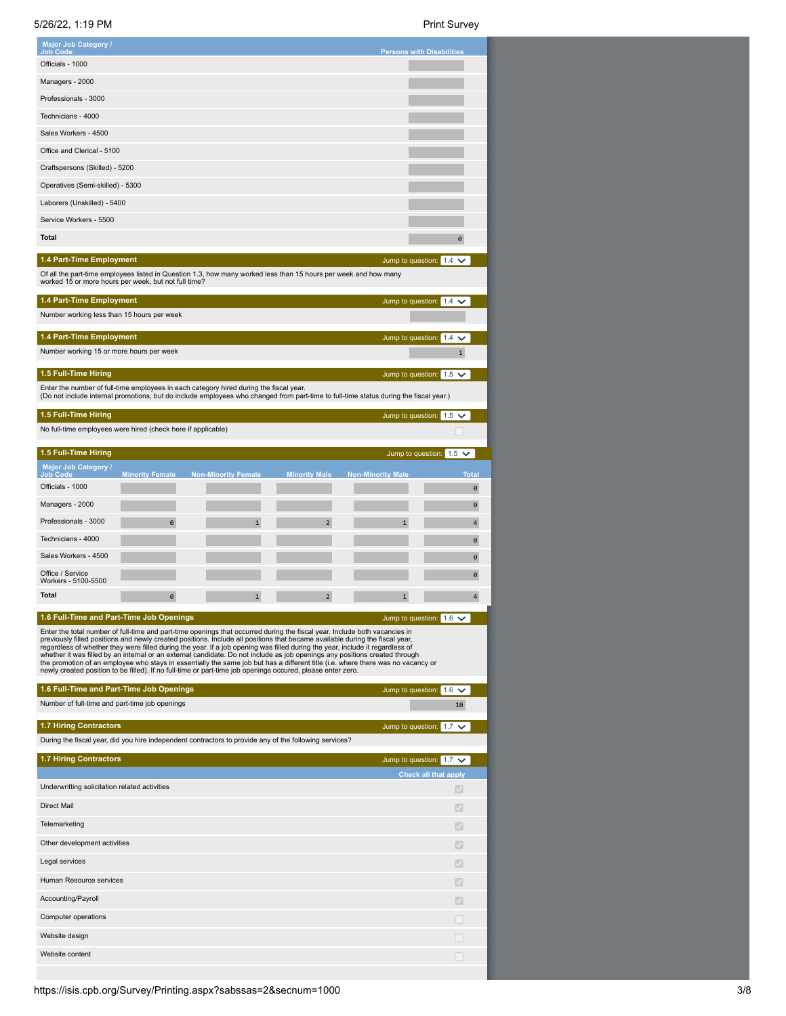5/26/22, 1:19 PM Print Survey

| Major Job Category /<br>Job Code                                                                                                                                                                                                                                                                                                                                                                                                                                                                                                                                                                                                                                                                                                                                              |                        |                            |                      | <b>Persons with Disabilities</b> |                                                               |
|-------------------------------------------------------------------------------------------------------------------------------------------------------------------------------------------------------------------------------------------------------------------------------------------------------------------------------------------------------------------------------------------------------------------------------------------------------------------------------------------------------------------------------------------------------------------------------------------------------------------------------------------------------------------------------------------------------------------------------------------------------------------------------|------------------------|----------------------------|----------------------|----------------------------------|---------------------------------------------------------------|
| Officials - 1000                                                                                                                                                                                                                                                                                                                                                                                                                                                                                                                                                                                                                                                                                                                                                              |                        |                            |                      |                                  |                                                               |
| Managers - 2000                                                                                                                                                                                                                                                                                                                                                                                                                                                                                                                                                                                                                                                                                                                                                               |                        |                            |                      |                                  |                                                               |
| Professionals - 3000                                                                                                                                                                                                                                                                                                                                                                                                                                                                                                                                                                                                                                                                                                                                                          |                        |                            |                      |                                  |                                                               |
| Technicians - 4000                                                                                                                                                                                                                                                                                                                                                                                                                                                                                                                                                                                                                                                                                                                                                            |                        |                            |                      |                                  |                                                               |
| Sales Workers - 4500                                                                                                                                                                                                                                                                                                                                                                                                                                                                                                                                                                                                                                                                                                                                                          |                        |                            |                      |                                  |                                                               |
| Office and Clerical - 5100                                                                                                                                                                                                                                                                                                                                                                                                                                                                                                                                                                                                                                                                                                                                                    |                        |                            |                      |                                  |                                                               |
| Craftspersons (Skilled) - 5200                                                                                                                                                                                                                                                                                                                                                                                                                                                                                                                                                                                                                                                                                                                                                |                        |                            |                      |                                  |                                                               |
| Operatives (Semi-skilled) - 5300                                                                                                                                                                                                                                                                                                                                                                                                                                                                                                                                                                                                                                                                                                                                              |                        |                            |                      |                                  |                                                               |
| Laborers (Unskilled) - 5400                                                                                                                                                                                                                                                                                                                                                                                                                                                                                                                                                                                                                                                                                                                                                   |                        |                            |                      |                                  |                                                               |
| Service Workers - 5500                                                                                                                                                                                                                                                                                                                                                                                                                                                                                                                                                                                                                                                                                                                                                        |                        |                            |                      |                                  |                                                               |
| <b>Total</b>                                                                                                                                                                                                                                                                                                                                                                                                                                                                                                                                                                                                                                                                                                                                                                  |                        |                            |                      |                                  | 0                                                             |
| 1.4 Part-Time Employment                                                                                                                                                                                                                                                                                                                                                                                                                                                                                                                                                                                                                                                                                                                                                      |                        |                            |                      |                                  | Jump to question: $1.4 \times$                                |
| Of all the part-time employees listed in Question 1.3, how many worked less than 15 hours per week and how many<br>worked 15 or more hours per week, but not full time?                                                                                                                                                                                                                                                                                                                                                                                                                                                                                                                                                                                                       |                        |                            |                      |                                  |                                                               |
| 1.4 Part-Time Employment                                                                                                                                                                                                                                                                                                                                                                                                                                                                                                                                                                                                                                                                                                                                                      |                        |                            |                      |                                  | Jump to question: $1.4 \times$                                |
| Number working less than 15 hours per week                                                                                                                                                                                                                                                                                                                                                                                                                                                                                                                                                                                                                                                                                                                                    |                        |                            |                      |                                  |                                                               |
| 1.4 Part-Time Employment                                                                                                                                                                                                                                                                                                                                                                                                                                                                                                                                                                                                                                                                                                                                                      |                        |                            |                      | Jump to question: 1.4            | $\checkmark$                                                  |
| Number working 15 or more hours per week                                                                                                                                                                                                                                                                                                                                                                                                                                                                                                                                                                                                                                                                                                                                      |                        |                            |                      |                                  | 1                                                             |
| 1.5 Full-Time Hiring                                                                                                                                                                                                                                                                                                                                                                                                                                                                                                                                                                                                                                                                                                                                                          |                        |                            |                      |                                  | Jump to question: $1.5 \times$                                |
| Enter the number of full-time employees in each category hired during the fiscal year.<br>(Do not include internal promotions, but do include employees who changed from part-time to full-time status during the fiscal year.)                                                                                                                                                                                                                                                                                                                                                                                                                                                                                                                                               |                        |                            |                      |                                  |                                                               |
|                                                                                                                                                                                                                                                                                                                                                                                                                                                                                                                                                                                                                                                                                                                                                                               |                        |                            |                      |                                  |                                                               |
| 1.5 Full-Time Hiring<br>No full-time employees were hired (check here if applicable)                                                                                                                                                                                                                                                                                                                                                                                                                                                                                                                                                                                                                                                                                          |                        |                            |                      | Jump to question: 1.5            | $\checkmark$                                                  |
|                                                                                                                                                                                                                                                                                                                                                                                                                                                                                                                                                                                                                                                                                                                                                                               |                        |                            |                      |                                  |                                                               |
| 1.5 Full-Time Hiring<br>Major Job Category /                                                                                                                                                                                                                                                                                                                                                                                                                                                                                                                                                                                                                                                                                                                                  |                        |                            |                      |                                  | Jump to question: $1.5 \times$                                |
| <b>Job Code</b>                                                                                                                                                                                                                                                                                                                                                                                                                                                                                                                                                                                                                                                                                                                                                               | <b>Minority Female</b> | <b>Non-Minority Female</b> | <b>Minority Male</b> | <b>Non-Minority Male</b>         | <b>Total</b>                                                  |
| Officials - 1000                                                                                                                                                                                                                                                                                                                                                                                                                                                                                                                                                                                                                                                                                                                                                              |                        |                            |                      |                                  | 0                                                             |
| Managers - 2000<br>Professionals - 3000                                                                                                                                                                                                                                                                                                                                                                                                                                                                                                                                                                                                                                                                                                                                       |                        |                            |                      |                                  | 0                                                             |
| Technicians - 4000                                                                                                                                                                                                                                                                                                                                                                                                                                                                                                                                                                                                                                                                                                                                                            | 0                      | $\mathbf{1}$               | $\overline{2}$       | $\overline{1}$                   | $\overline{4}$<br>0                                           |
| Sales Workers - 4500                                                                                                                                                                                                                                                                                                                                                                                                                                                                                                                                                                                                                                                                                                                                                          |                        |                            |                      |                                  | 0                                                             |
| Office / Service                                                                                                                                                                                                                                                                                                                                                                                                                                                                                                                                                                                                                                                                                                                                                              |                        |                            |                      |                                  | 0                                                             |
| Workers - 5100-5500                                                                                                                                                                                                                                                                                                                                                                                                                                                                                                                                                                                                                                                                                                                                                           |                        |                            |                      |                                  |                                                               |
| <b>Total</b>                                                                                                                                                                                                                                                                                                                                                                                                                                                                                                                                                                                                                                                                                                                                                                  | 0                      | $\mathbf{1}$               | 2                    | 1                                | $\overline{a}$                                                |
| 1.6 Full-Time and Part-Time Job Openings                                                                                                                                                                                                                                                                                                                                                                                                                                                                                                                                                                                                                                                                                                                                      |                        |                            |                      |                                  | Jump to question: $1.6 \vee$                                  |
| Enter the total number of full-time and part-time openings that occurred during the fiscal year. Include both vacancies in<br>previously filled positions and newly created positions. Include all positions that became available during the fiscal year,<br>regardless of whether they were filled during the year. If a job opening was filled during the year, include it regardless of<br>whether it was filled by an internal or an external candidate. Do not include as job openings any positions created through<br>the promotion of an employee who stays in essentially the same job but has a different title (i.e. where there was no vacancy or<br>newly created position to be filled). If no full-time or part-time job openings occured, please enter zero. |                        |                            |                      |                                  |                                                               |
| 1.6 Full-Time and Part-Time Job Openings                                                                                                                                                                                                                                                                                                                                                                                                                                                                                                                                                                                                                                                                                                                                      |                        |                            |                      |                                  | Jump to question: $1.6 \vee$                                  |
| Number of full-time and part-time job openings                                                                                                                                                                                                                                                                                                                                                                                                                                                                                                                                                                                                                                                                                                                                |                        |                            |                      |                                  | 10                                                            |
| <b>1.7 Hiring Contractors</b>                                                                                                                                                                                                                                                                                                                                                                                                                                                                                                                                                                                                                                                                                                                                                 |                        |                            |                      |                                  | Jump to question: $1.7 \vee$                                  |
| During the fiscal year, did you hire independent contractors to provide any of the following services?                                                                                                                                                                                                                                                                                                                                                                                                                                                                                                                                                                                                                                                                        |                        |                            |                      |                                  |                                                               |
| <b>1.7 Hiring Contractors</b>                                                                                                                                                                                                                                                                                                                                                                                                                                                                                                                                                                                                                                                                                                                                                 |                        |                            |                      |                                  | Jump to question: $1.7 \times$<br><b>Check all that apply</b> |
| Underwritting solicitation related activities                                                                                                                                                                                                                                                                                                                                                                                                                                                                                                                                                                                                                                                                                                                                 |                        |                            |                      |                                  |                                                               |
| <b>Direct Mail</b>                                                                                                                                                                                                                                                                                                                                                                                                                                                                                                                                                                                                                                                                                                                                                            |                        |                            |                      |                                  | V                                                             |
| Telemarketing                                                                                                                                                                                                                                                                                                                                                                                                                                                                                                                                                                                                                                                                                                                                                                 |                        |                            |                      |                                  | $\mathcal{S}$                                                 |
| Other development activities                                                                                                                                                                                                                                                                                                                                                                                                                                                                                                                                                                                                                                                                                                                                                  |                        |                            |                      |                                  | $\checkmark$                                                  |
| Legal services                                                                                                                                                                                                                                                                                                                                                                                                                                                                                                                                                                                                                                                                                                                                                                |                        |                            |                      |                                  | ℐ                                                             |
| Human Resource services                                                                                                                                                                                                                                                                                                                                                                                                                                                                                                                                                                                                                                                                                                                                                       |                        |                            |                      |                                  | ℐ                                                             |
| Accounting/Payroll                                                                                                                                                                                                                                                                                                                                                                                                                                                                                                                                                                                                                                                                                                                                                            |                        |                            |                      |                                  |                                                               |
| Computer operations                                                                                                                                                                                                                                                                                                                                                                                                                                                                                                                                                                                                                                                                                                                                                           |                        |                            |                      |                                  |                                                               |
| Website design                                                                                                                                                                                                                                                                                                                                                                                                                                                                                                                                                                                                                                                                                                                                                                |                        |                            |                      |                                  |                                                               |
| Website content                                                                                                                                                                                                                                                                                                                                                                                                                                                                                                                                                                                                                                                                                                                                                               |                        |                            |                      |                                  |                                                               |
|                                                                                                                                                                                                                                                                                                                                                                                                                                                                                                                                                                                                                                                                                                                                                                               |                        |                            |                      |                                  |                                                               |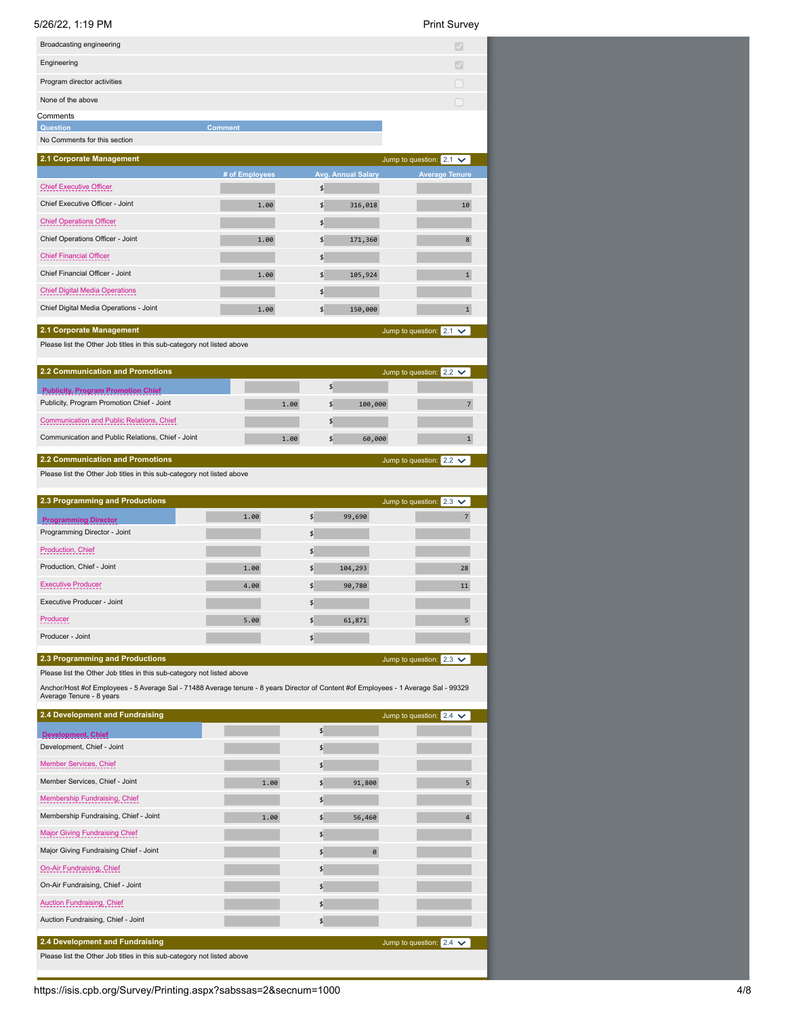# 5/26/22, 1:19 PM Print Survey

|  | Print Survey |
|--|--------------|
|--|--------------|

| Broadcasting engineering                                                                                                                                         |                |               |                           | $\mathcal{S}$                  |
|------------------------------------------------------------------------------------------------------------------------------------------------------------------|----------------|---------------|---------------------------|--------------------------------|
| Engineering                                                                                                                                                      |                |               |                           |                                |
| Program director activities                                                                                                                                      |                |               |                           |                                |
| None of the above                                                                                                                                                |                |               |                           |                                |
| Comments                                                                                                                                                         |                |               |                           |                                |
| Question                                                                                                                                                         | <b>Comment</b> |               |                           |                                |
| No Comments for this section                                                                                                                                     |                |               |                           |                                |
| 2.1 Corporate Management                                                                                                                                         |                |               |                           | Jump to question: $2.1 \times$ |
|                                                                                                                                                                  | # of Employees |               | <b>Avg. Annual Salary</b> | <b>Average Tenure</b>          |
| <b>Chief Executive Officer</b>                                                                                                                                   |                | \$            |                           |                                |
| Chief Executive Officer - Joint                                                                                                                                  | 1.00           | \$            | 316,018                   | 10                             |
| <b>Chief Operations Officer</b><br>Chief Operations Officer - Joint                                                                                              |                | $\frac{4}{5}$ |                           |                                |
|                                                                                                                                                                  | 1.00           | $\frac{4}{5}$ | 171,360                   | 8                              |
| <b>Chief Financial Officer</b>                                                                                                                                   |                | $\frac{4}{5}$ |                           |                                |
| Chief Financial Officer - Joint                                                                                                                                  | 1.00           | \$            | 105,924                   | $\mathbf 1$                    |
| <b>Chief Digital Media Operations</b>                                                                                                                            |                | $\frac{4}{5}$ |                           |                                |
| Chief Digital Media Operations - Joint                                                                                                                           | 1.00           | $\frac{4}{5}$ | 150,000                   | $\mathbf{1}$                   |
| 2.1 Corporate Management                                                                                                                                         |                |               |                           | Jump to question: $2.1 \times$ |
| Please list the Other Job titles in this sub-category not listed above                                                                                           |                |               |                           |                                |
| <b>2.2 Communication and Promotions</b>                                                                                                                          |                |               |                           | Jump to question: $2.2 \times$ |
| <b>Publicity, Program Promotion Chief</b>                                                                                                                        |                | \$            |                           |                                |
| Publicity, Program Promotion Chief - Joint                                                                                                                       | 1.00           | \$            | 100,000                   | $\overline{7}$                 |
| Communication and Public Relations, Chief                                                                                                                        |                | \$            |                           |                                |
| Communication and Public Relations, Chief - Joint                                                                                                                | 1.00           | \$            | 60,000                    | $\mathbf{1}$                   |
| 2.2 Communication and Promotions                                                                                                                                 |                |               |                           |                                |
| Please list the Other Job titles in this sub-category not listed above                                                                                           |                |               |                           | Jump to question: $2.2 \times$ |
|                                                                                                                                                                  |                |               |                           |                                |
|                                                                                                                                                                  |                |               |                           |                                |
| 2.3 Programming and Productions                                                                                                                                  |                |               |                           | Jump to question: $2.3 \vee$   |
| <b>Programming Director</b>                                                                                                                                      | 1.00           | $\frac{4}{5}$ | 99,690                    | 7                              |
| Programming Director - Joint                                                                                                                                     |                | \$            |                           |                                |
| Production, Chief                                                                                                                                                |                | \$            |                           |                                |
| Production, Chief - Joint                                                                                                                                        | 1.00           | \$            | 104,293                   | 28                             |
| Executive Producer                                                                                                                                               | 4.00           | \$            | 90,780                    | 11                             |
| Executive Producer - Joint                                                                                                                                       |                | \$            |                           |                                |
| Producer                                                                                                                                                         | 5.00           | \$            | 61,871                    | 5                              |
| Producer - Joint                                                                                                                                                 |                | \$            |                           |                                |
| 2.3 Programming and Productions                                                                                                                                  |                |               |                           | Jump to question: $2.3 \times$ |
| Please list the Other Job titles in this sub-category not listed above                                                                                           |                |               |                           |                                |
| Anchor/Host #of Employees - 5 Average Sal - 71488 Average tenure - 8 years Director of Content #of Employees - 1 Average Sal - 99329<br>Average Tenure - 8 years |                |               |                           |                                |
| 2.4 Development and Fundraising                                                                                                                                  |                |               |                           | Jump to question: $2.4 \times$ |
|                                                                                                                                                                  |                | \$            |                           |                                |
| <b>Development, Chief</b><br>Development, Chief - Joint                                                                                                          |                | \$            |                           |                                |
| Member Services, Chief                                                                                                                                           |                | \$            |                           |                                |
| Member Services, Chief - Joint                                                                                                                                   | 1.00           | \$            | 91,800                    | 5                              |
| Membership Fundraising, Chief                                                                                                                                    |                | \$            |                           |                                |
| Membership Fundraising, Chief - Joint                                                                                                                            | 1.00           | \$            | 56,460                    | $\overline{4}$                 |
| <b>Major Giving Fundraising Chief</b>                                                                                                                            |                | \$            |                           |                                |
| Major Giving Fundraising Chief - Joint                                                                                                                           |                | \$            | 0                         |                                |
| On-Air Fundraising, Chief                                                                                                                                        |                | \$            |                           |                                |
| On-Air Fundraising, Chief - Joint                                                                                                                                |                | \$            |                           |                                |
| <b>Auction Fundraising, Chief</b>                                                                                                                                |                | \$            |                           |                                |
| Auction Fundraising, Chief - Joint                                                                                                                               |                | \$            |                           |                                |
|                                                                                                                                                                  |                |               |                           |                                |
| 2.4 Development and Fundraising<br>Please list the Other Job titles in this sub-category not listed above                                                        |                |               |                           | Jump to question: $2.4 \times$ |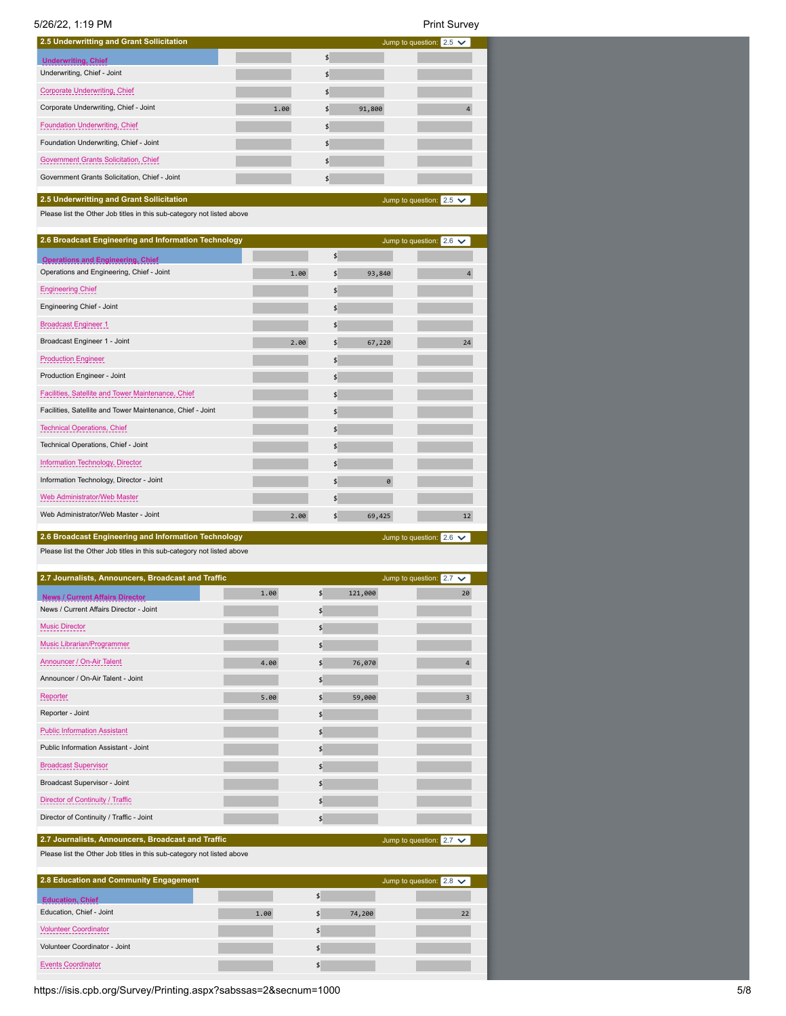| 5/26/22, 1:19 PM                                                                                                    |      |      |                           |         | <b>Print Survey</b>            |
|---------------------------------------------------------------------------------------------------------------------|------|------|---------------------------|---------|--------------------------------|
| 2.5 Underwritting and Grant Sollicitation                                                                           |      |      |                           |         | Jump to question: $2.5 \times$ |
| <b>Underwriting, Chief</b>                                                                                          |      |      | $\frac{4}{5}$             |         |                                |
| Underwriting, Chief - Joint                                                                                         |      |      | \$                        |         |                                |
| <b>Corporate Underwriting, Chief</b>                                                                                |      |      | \$                        |         |                                |
| Corporate Underwriting, Chief - Joint                                                                               |      | 1.00 | \$                        | 91,800  | 4                              |
| Foundation Underwriting, Chief                                                                                      |      |      | \$                        |         |                                |
| Foundation Underwriting, Chief - Joint                                                                              |      |      | \$                        |         |                                |
| Government Grants Solicitation, Chief                                                                               |      |      | \$                        |         |                                |
| Government Grants Solicitation, Chief - Joint                                                                       |      |      | \$                        |         |                                |
|                                                                                                                     |      |      |                           |         |                                |
| 2.5 Underwritting and Grant Sollicitation<br>Please list the Other Job titles in this sub-category not listed above |      |      |                           |         | Jump to question: $2.5 \times$ |
| 2.6 Broadcast Engineering and Information Technology                                                                |      |      |                           |         | Jump to question: $2.6 \times$ |
| <b>Operations and Engineering, Chief</b>                                                                            |      |      | \$                        |         |                                |
| Operations and Engineering, Chief - Joint                                                                           |      | 1.00 | \$                        | 93,840  | 4                              |
| Engineering Chief                                                                                                   |      |      | \$                        |         |                                |
| Engineering Chief - Joint                                                                                           |      |      | \$                        |         |                                |
| <b>Broadcast Engineer 1</b>                                                                                         |      |      | \$                        |         |                                |
| Broadcast Engineer 1 - Joint                                                                                        |      | 2.00 | \$                        | 67,220  | 24                             |
| <b>Production Engineer</b>                                                                                          |      |      | \$                        |         |                                |
| Production Engineer - Joint                                                                                         |      |      | \$                        |         |                                |
| Facilities, Satellite and Tower Maintenance, Chief                                                                  |      |      | \$                        |         |                                |
| Facilities, Satellite and Tower Maintenance, Chief - Joint                                                          |      |      | \$                        |         |                                |
| <b>Technical Operations, Chief</b>                                                                                  |      |      | \$                        |         |                                |
| Technical Operations, Chief - Joint                                                                                 |      |      | \$                        |         |                                |
| Information Technology, Director                                                                                    |      |      | \$                        |         |                                |
| Information Technology, Director - Joint                                                                            |      |      | \$                        | 0       |                                |
| Web Administrator/Web Master                                                                                        |      |      | \$                        |         |                                |
| Web Administrator/Web Master - Joint                                                                                |      | 2.00 | \$                        | 69,425  | 12                             |
| 2.6 Broadcast Engineering and Information Technology                                                                |      |      |                           |         | Jump to question: $2.6 \times$ |
| Please list the Other Job titles in this sub-category not listed above                                              |      |      |                           |         |                                |
| 2.7 Journalists, Announcers, Broadcast and Traffic                                                                  |      |      |                           |         | Jump to question: $2.7 \times$ |
| <b>News / Current Affairs Director</b>                                                                              | 1.00 |      | \$                        | 121,000 | 20                             |
| News / Current Affairs Director - Joint                                                                             |      |      | $\boldsymbol{\mathsf{S}}$ |         |                                |
| <b>Music Director</b>                                                                                               |      |      | $\boldsymbol{\mathsf{S}}$ |         |                                |
| Music Librarian/Programmer                                                                                          |      |      | $\frac{4}{5}$             |         |                                |
| Announcer / On-Air Talent                                                                                           | 4.00 |      | $\frac{4}{5}$             | 76,070  | $\overline{4}$                 |
| Announcer / On-Air Talent - Joint                                                                                   |      |      | \$                        |         |                                |
| <b>Reporter</b>                                                                                                     | 5.00 |      | $\frac{4}{5}$             | 59,000  | 3                              |
| Reporter - Joint                                                                                                    |      |      | \$                        |         |                                |
| <b>Public Information Assistant</b>                                                                                 |      |      | \$                        |         |                                |
| Public Information Assistant - Joint                                                                                |      |      | \$                        |         |                                |
| <b>Broadcast Supervisor</b>                                                                                         |      |      | \$                        |         |                                |
| Broadcast Supervisor - Joint                                                                                        |      |      | \$                        |         |                                |
| Director of Continuity / Traffic                                                                                    |      |      |                           |         |                                |
|                                                                                                                     |      |      | \$                        |         |                                |
| Director of Continuity / Traffic - Joint                                                                            |      |      | \$                        |         |                                |
| 2.7 Journalists, Announcers, Broadcast and Traffic                                                                  |      |      |                           |         | Jump to question: $2.7 \times$ |
| Please list the Other Job titles in this sub-category not listed above                                              |      |      |                           |         |                                |
| 2.8 Education and Community Engagement                                                                              |      |      |                           |         | Jump to question: $2.8 \times$ |
| <b>Education, Chief</b>                                                                                             |      |      | \$                        |         |                                |
| Education, Chief - Joint                                                                                            | 1.00 |      | \$                        | 74,200  | 22                             |
| <b>Volunteer Coordinator</b>                                                                                        |      |      | \$                        |         |                                |
| Volunteer Coordinator - Joint                                                                                       |      |      | \$                        |         |                                |

https://isis.cpb.org/Survey/Printing.aspx?sabssas=2&secnum=1000 5/8 Events Coordinator  $\blacklozenge$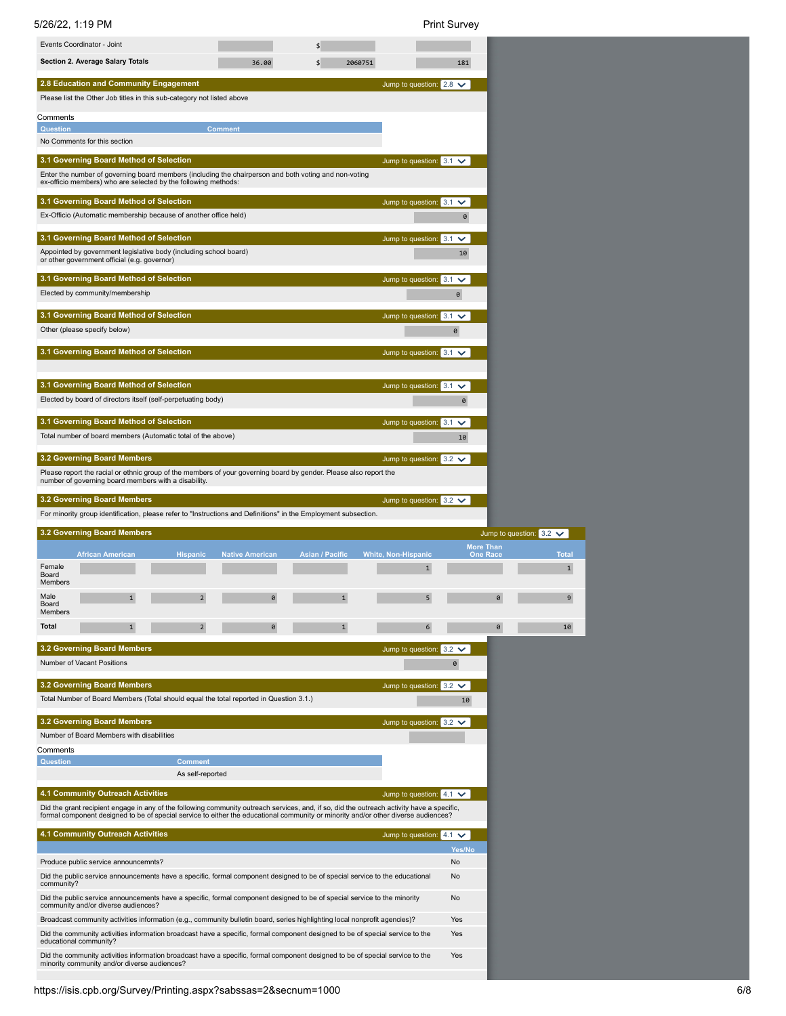| Events Coordinator - Joint<br>$\frac{4}{5}$<br><b>Section 2. Average Salary Totals</b><br>$\frac{4}{5}$<br>36.00<br>2060751<br>181<br>2.8 Education and Community Engagement<br>Jump to question: $2.8 \times$<br>Please list the Other Job titles in this sub-category not listed above<br>Comments |
|------------------------------------------------------------------------------------------------------------------------------------------------------------------------------------------------------------------------------------------------------------------------------------------------------|
|                                                                                                                                                                                                                                                                                                      |
|                                                                                                                                                                                                                                                                                                      |
|                                                                                                                                                                                                                                                                                                      |
|                                                                                                                                                                                                                                                                                                      |
|                                                                                                                                                                                                                                                                                                      |
| <b>Comment</b><br><b>Question</b><br>No Comments for this section                                                                                                                                                                                                                                    |
| 3.1 Governing Board Method of Selection<br>Jump to question: $3.1 \checkmark$                                                                                                                                                                                                                        |
| Enter the number of governing board members (including the chairperson and both voting and non-voting                                                                                                                                                                                                |
| ex-officio members) who are selected by the following methods:                                                                                                                                                                                                                                       |
| 3.1 Governing Board Method of Selection<br>Jump to question: $3.1 \times$<br>Ex-Officio (Automatic membership because of another office held)<br>$\pmb{\Theta}$                                                                                                                                      |
|                                                                                                                                                                                                                                                                                                      |
| 3.1 Governing Board Method of Selection<br>Jump to question: $3.1 \times$<br>Appointed by government legislative body (including school board)<br>10                                                                                                                                                 |
| or other government official (e.g. governor)                                                                                                                                                                                                                                                         |
| 3.1 Governing Board Method of Selection<br>Jump to question: 3.1<br>$\checkmark$                                                                                                                                                                                                                     |
| Elected by community/membership<br>0                                                                                                                                                                                                                                                                 |
| 3.1 Governing Board Method of Selection<br>Jump to question: $3.1 \times$                                                                                                                                                                                                                            |
| Other (please specify below)<br>$\theta$                                                                                                                                                                                                                                                             |
| 3.1 Governing Board Method of Selection<br>Jump to question: $3.1 \times$                                                                                                                                                                                                                            |
|                                                                                                                                                                                                                                                                                                      |
| 3.1 Governing Board Method of Selection<br>Jump to question: $3.1 \checkmark$                                                                                                                                                                                                                        |
| Elected by board of directors itself (self-perpetuating body)<br>0                                                                                                                                                                                                                                   |
| 3.1 Governing Board Method of Selection<br>Jump to question: $3.1 \times$                                                                                                                                                                                                                            |
| Total number of board members (Automatic total of the above)<br>10                                                                                                                                                                                                                                   |
| 3.2 Governing Board Members<br>Jump to question: $3.2 \times$                                                                                                                                                                                                                                        |
| Please report the racial or ethnic group of the members of your governing board by gender. Please also report the<br>number of governing board members with a disability.                                                                                                                            |
| <b>3.2 Governing Board Members</b><br>Jump to question: $3.2 \times$                                                                                                                                                                                                                                 |
| For minority group identification, please refer to "Instructions and Definitions" in the Employment subsection.                                                                                                                                                                                      |
|                                                                                                                                                                                                                                                                                                      |
| 3.2 Governing Board Members<br>Jump to question: $3.2 \times$                                                                                                                                                                                                                                        |
| More Than<br>Asian / Pacific<br><b>White, Non-Hispanic</b><br><b>Tota</b><br><b>African American</b><br><b>Hispanic</b><br><b>Native American</b><br><b>One Race</b>                                                                                                                                 |
| Female<br>$\mathbf{1}$<br>$\mathbf{1}$<br>Board<br>Members                                                                                                                                                                                                                                           |
| Male<br>$\mathbf{1}$<br>$\overline{2}$<br>0<br>$\mathbf{1}$<br>5<br>0<br>9                                                                                                                                                                                                                           |
| Board<br>Members                                                                                                                                                                                                                                                                                     |
| <b>Total</b><br>$\mathbf 1$<br>$\mathbf{1}$<br>2<br>6<br>$\theta$<br>10                                                                                                                                                                                                                              |
| <b>3.2 Governing Board Members</b><br>Jump to question: $3.2 \times$                                                                                                                                                                                                                                 |
| Number of Vacant Positions<br>0                                                                                                                                                                                                                                                                      |
| 3.2 Governing Board Members<br>Jump to question: $3.2 \times$                                                                                                                                                                                                                                        |
| Total Number of Board Members (Total should equal the total reported in Question 3.1.)<br>10                                                                                                                                                                                                         |
| 3.2 Governing Board Members<br>Jump to question: $3.2 \times$                                                                                                                                                                                                                                        |
| Number of Board Members with disabilities                                                                                                                                                                                                                                                            |
| Comments<br><b>Question</b><br><b>Comment</b>                                                                                                                                                                                                                                                        |
| As self-reported                                                                                                                                                                                                                                                                                     |
| 4.1 Community Outreach Activities<br>Jump to question: $4.1 \vee$                                                                                                                                                                                                                                    |
| Did the grant recipient engage in any of the following community outreach services, and, if so, did the outreach activity have a specific,<br>formal component designed to be of special service to either the educational community or minority and/or other diverse audiences?                     |
| 4.1 Community Outreach Activities<br>Jump to question: $4.1 \vee$                                                                                                                                                                                                                                    |
| Yes/No                                                                                                                                                                                                                                                                                               |
| Produce public service announcemnts?<br>No                                                                                                                                                                                                                                                           |
| Did the public service announcements have a specific, formal component designed to be of special service to the educational<br>No<br>community?                                                                                                                                                      |
| Did the public service announcements have a specific, formal component designed to be of special service to the minority<br>No                                                                                                                                                                       |
| community and/or diverse audiences?<br>Broadcast community activities information (e.g., community bulletin board, series highlighting local nonprofit agencies)?<br>Yes                                                                                                                             |
| Did the community activities information broadcast have a specific, formal component designed to be of special service to the<br>Yes<br>educational community?                                                                                                                                       |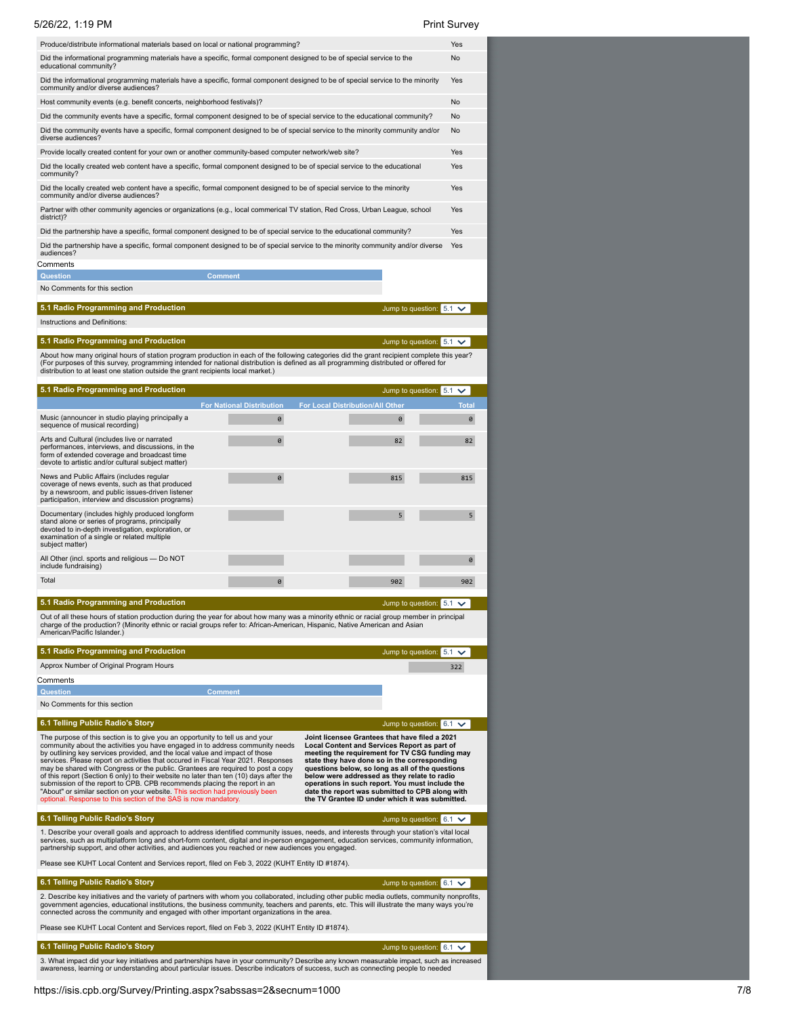| 5/26/22, 1:19 PM                                                                                                                                                                                                                                                                                                                                                                                                                                                                                                                                                                                                                                                                                                                               |                                       |                                                                                                                                                                                                                                                                                                                                                                                                                                                               | <b>Print Survey</b>                |
|------------------------------------------------------------------------------------------------------------------------------------------------------------------------------------------------------------------------------------------------------------------------------------------------------------------------------------------------------------------------------------------------------------------------------------------------------------------------------------------------------------------------------------------------------------------------------------------------------------------------------------------------------------------------------------------------------------------------------------------------|---------------------------------------|---------------------------------------------------------------------------------------------------------------------------------------------------------------------------------------------------------------------------------------------------------------------------------------------------------------------------------------------------------------------------------------------------------------------------------------------------------------|------------------------------------|
| Produce/distribute informational materials based on local or national programming?                                                                                                                                                                                                                                                                                                                                                                                                                                                                                                                                                                                                                                                             |                                       |                                                                                                                                                                                                                                                                                                                                                                                                                                                               | Yes                                |
| Did the informational programming materials have a specific, formal component designed to be of special service to the<br>educational community?                                                                                                                                                                                                                                                                                                                                                                                                                                                                                                                                                                                               |                                       |                                                                                                                                                                                                                                                                                                                                                                                                                                                               | <b>No</b>                          |
| Did the informational programming materials have a specific, formal component designed to be of special service to the minority<br>community and/or diverse audiences?                                                                                                                                                                                                                                                                                                                                                                                                                                                                                                                                                                         |                                       |                                                                                                                                                                                                                                                                                                                                                                                                                                                               | Yes                                |
| Host community events (e.g. benefit concerts, neighborhood festivals)?                                                                                                                                                                                                                                                                                                                                                                                                                                                                                                                                                                                                                                                                         |                                       |                                                                                                                                                                                                                                                                                                                                                                                                                                                               | No                                 |
| Did the community events have a specific, formal component designed to be of special service to the educational community?<br>Did the community events have a specific, formal component designed to be of special service to the minority community and/or                                                                                                                                                                                                                                                                                                                                                                                                                                                                                    |                                       |                                                                                                                                                                                                                                                                                                                                                                                                                                                               | No<br>No                           |
| diverse audiences?                                                                                                                                                                                                                                                                                                                                                                                                                                                                                                                                                                                                                                                                                                                             |                                       |                                                                                                                                                                                                                                                                                                                                                                                                                                                               |                                    |
| Provide locally created content for your own or another community-based computer network/web site?                                                                                                                                                                                                                                                                                                                                                                                                                                                                                                                                                                                                                                             |                                       |                                                                                                                                                                                                                                                                                                                                                                                                                                                               | Yes                                |
| Did the locally created web content have a specific, formal component designed to be of special service to the educational<br>community?                                                                                                                                                                                                                                                                                                                                                                                                                                                                                                                                                                                                       |                                       |                                                                                                                                                                                                                                                                                                                                                                                                                                                               | Yes                                |
| Did the locally created web content have a specific, formal component designed to be of special service to the minority<br>community and/or diverse audiences?                                                                                                                                                                                                                                                                                                                                                                                                                                                                                                                                                                                 |                                       |                                                                                                                                                                                                                                                                                                                                                                                                                                                               | Yes                                |
| Partner with other community agencies or organizations (e.g., local commerical TV station, Red Cross, Urban League, school<br>district)?                                                                                                                                                                                                                                                                                                                                                                                                                                                                                                                                                                                                       |                                       |                                                                                                                                                                                                                                                                                                                                                                                                                                                               | Yes                                |
| Did the partnership have a specific, formal component designed to be of special service to the educational community?                                                                                                                                                                                                                                                                                                                                                                                                                                                                                                                                                                                                                          |                                       |                                                                                                                                                                                                                                                                                                                                                                                                                                                               | Yes                                |
| Did the partnership have a specific, formal component designed to be of special service to the minority community and/or diverse<br>audiences?                                                                                                                                                                                                                                                                                                                                                                                                                                                                                                                                                                                                 |                                       |                                                                                                                                                                                                                                                                                                                                                                                                                                                               | Yes                                |
| Comments                                                                                                                                                                                                                                                                                                                                                                                                                                                                                                                                                                                                                                                                                                                                       |                                       |                                                                                                                                                                                                                                                                                                                                                                                                                                                               |                                    |
| <b>Question</b><br><b>Comment</b><br>No Comments for this section                                                                                                                                                                                                                                                                                                                                                                                                                                                                                                                                                                                                                                                                              |                                       |                                                                                                                                                                                                                                                                                                                                                                                                                                                               |                                    |
| 5.1 Radio Programming and Production                                                                                                                                                                                                                                                                                                                                                                                                                                                                                                                                                                                                                                                                                                           |                                       | Jump to question: 5.1                                                                                                                                                                                                                                                                                                                                                                                                                                         | $\checkmark$                       |
| Instructions and Definitions:                                                                                                                                                                                                                                                                                                                                                                                                                                                                                                                                                                                                                                                                                                                  |                                       |                                                                                                                                                                                                                                                                                                                                                                                                                                                               |                                    |
| 5.1 Radio Programming and Production                                                                                                                                                                                                                                                                                                                                                                                                                                                                                                                                                                                                                                                                                                           |                                       | Jump to question: 5.1                                                                                                                                                                                                                                                                                                                                                                                                                                         | $\checkmark$                       |
| About how many original hours of station program production in each of the following categories did the grant recipient complete this year?<br>(For purposes of this survey, programming intended for national distribution is defined as all programming distributed or offered for<br>distribution to at least one station outside the grant recipients local market.)                                                                                                                                                                                                                                                                                                                                                                       |                                       |                                                                                                                                                                                                                                                                                                                                                                                                                                                               |                                    |
| 5.1 Radio Programming and Production                                                                                                                                                                                                                                                                                                                                                                                                                                                                                                                                                                                                                                                                                                           |                                       | Jump to question: 5.1                                                                                                                                                                                                                                                                                                                                                                                                                                         | $\checkmark$                       |
| Music (announcer in studio playing principally a<br>sequence of musical recording)                                                                                                                                                                                                                                                                                                                                                                                                                                                                                                                                                                                                                                                             | <b>For National Distribution</b><br>0 | <b>For Local Distribution/All Other</b><br>0                                                                                                                                                                                                                                                                                                                                                                                                                  | <b>Total</b><br>0                  |
| Arts and Cultural (includes live or narrated<br>performances, interviews, and discussions, in the<br>form of extended coverage and broadcast time<br>devote to artistic and/or cultural subject matter)                                                                                                                                                                                                                                                                                                                                                                                                                                                                                                                                        | 0                                     | 82                                                                                                                                                                                                                                                                                                                                                                                                                                                            | 82                                 |
| News and Public Affairs (includes regular<br>coverage of news events, such as that produced<br>by a newsroom, and public issues-driven listener                                                                                                                                                                                                                                                                                                                                                                                                                                                                                                                                                                                                | 0                                     | 815                                                                                                                                                                                                                                                                                                                                                                                                                                                           | 815                                |
| participation, interview and discussion programs)<br>Documentary (includes highly produced longform<br>stand alone or series of programs, principally<br>devoted to in-depth investigation, exploration, or<br>examination of a single or related multiple                                                                                                                                                                                                                                                                                                                                                                                                                                                                                     |                                       | 5                                                                                                                                                                                                                                                                                                                                                                                                                                                             | 5                                  |
| subject matter)<br>All Other (incl. sports and religious - Do NOT                                                                                                                                                                                                                                                                                                                                                                                                                                                                                                                                                                                                                                                                              |                                       |                                                                                                                                                                                                                                                                                                                                                                                                                                                               | 0                                  |
| include fundraising)<br>Total                                                                                                                                                                                                                                                                                                                                                                                                                                                                                                                                                                                                                                                                                                                  | Ø                                     | 902                                                                                                                                                                                                                                                                                                                                                                                                                                                           | 902                                |
|                                                                                                                                                                                                                                                                                                                                                                                                                                                                                                                                                                                                                                                                                                                                                |                                       |                                                                                                                                                                                                                                                                                                                                                                                                                                                               |                                    |
| 5.1 Radio Programming and Production<br>Out of all these hours of station production during the year for about how many was a minority ethnic or racial group member in principal                                                                                                                                                                                                                                                                                                                                                                                                                                                                                                                                                              |                                       |                                                                                                                                                                                                                                                                                                                                                                                                                                                               | Jump to question: $5.1 \vee$       |
| charge of the production? (Minority ethnic or racial groups refer to: African-American, Hispanic, Native American and Asian<br>American/Pacific Islander.)                                                                                                                                                                                                                                                                                                                                                                                                                                                                                                                                                                                     |                                       |                                                                                                                                                                                                                                                                                                                                                                                                                                                               |                                    |
| 5.1 Radio Programming and Production                                                                                                                                                                                                                                                                                                                                                                                                                                                                                                                                                                                                                                                                                                           |                                       |                                                                                                                                                                                                                                                                                                                                                                                                                                                               | Jump to question: $5.1 \checkmark$ |
| Approx Number of Original Program Hours<br>Comments                                                                                                                                                                                                                                                                                                                                                                                                                                                                                                                                                                                                                                                                                            |                                       |                                                                                                                                                                                                                                                                                                                                                                                                                                                               | 322                                |
| <b>Question</b><br><b>Comment</b>                                                                                                                                                                                                                                                                                                                                                                                                                                                                                                                                                                                                                                                                                                              |                                       |                                                                                                                                                                                                                                                                                                                                                                                                                                                               |                                    |
| No Comments for this section                                                                                                                                                                                                                                                                                                                                                                                                                                                                                                                                                                                                                                                                                                                   |                                       |                                                                                                                                                                                                                                                                                                                                                                                                                                                               |                                    |
| 6.1 Telling Public Radio's Story                                                                                                                                                                                                                                                                                                                                                                                                                                                                                                                                                                                                                                                                                                               |                                       |                                                                                                                                                                                                                                                                                                                                                                                                                                                               | Jump to question: $6.1 \vee$       |
| The purpose of this section is to give you an opportunity to tell us and your<br>community about the activities you have engaged in to address community needs<br>by outlining key services provided, and the local value and impact of those<br>services. Please report on activities that occured in Fiscal Year 2021. Responses<br>may be shared with Congress or the public. Grantees are required to post a copy<br>of this report (Section 6 only) to their website no later than ten (10) days after the<br>submission of the report to CPB. CPB recommends placing the report in an<br>"About" or similar section on your website. This section had previously been<br>optional. Response to this section of the SAS is now mandatory. |                                       | Joint licensee Grantees that have filed a 2021<br>Local Content and Services Report as part of<br>meeting the requirement for TV CSG funding may<br>state they have done so in the corresponding<br>questions below, so long as all of the questions<br>below were addressed as they relate to radio<br>operations in such report. You must include the<br>date the report was submitted to CPB along with<br>the TV Grantee ID under which it was submitted. |                                    |
| 6.1 Telling Public Radio's Story                                                                                                                                                                                                                                                                                                                                                                                                                                                                                                                                                                                                                                                                                                               |                                       |                                                                                                                                                                                                                                                                                                                                                                                                                                                               | Jump to question: $6.1 \vee$       |
| 1. Describe your overall goals and approach to address identified community issues, needs, and interests through your station's vital local<br>services, such as multiplatform long and short-form content, digital and in-person engagement, education services, community information,<br>partnership support, and other activities, and audiences you reached or new audiences you engaged.                                                                                                                                                                                                                                                                                                                                                 |                                       |                                                                                                                                                                                                                                                                                                                                                                                                                                                               |                                    |
| Please see KUHT Local Content and Services report, filed on Feb 3, 2022 (KUHT Entity ID #1874).                                                                                                                                                                                                                                                                                                                                                                                                                                                                                                                                                                                                                                                |                                       |                                                                                                                                                                                                                                                                                                                                                                                                                                                               |                                    |
| 6.1 Telling Public Radio's Story<br>2. Describe key initiatives and the variety of partners with whom you collaborated, including other public media outlets, community nonprofits,                                                                                                                                                                                                                                                                                                                                                                                                                                                                                                                                                            |                                       |                                                                                                                                                                                                                                                                                                                                                                                                                                                               | Jump to question: $6.1 \checkmark$ |
| government agencies, educational institutions, the business community, teachers and parents, etc. This will illustrate the many ways you're<br>connected across the community and engaged with other important organizations in the area.                                                                                                                                                                                                                                                                                                                                                                                                                                                                                                      |                                       |                                                                                                                                                                                                                                                                                                                                                                                                                                                               |                                    |
| Please see KUHT Local Content and Services report, filed on Feb 3, 2022 (KUHT Entity ID #1874).                                                                                                                                                                                                                                                                                                                                                                                                                                                                                                                                                                                                                                                |                                       |                                                                                                                                                                                                                                                                                                                                                                                                                                                               |                                    |
| 6.1 Telling Public Radio's Story                                                                                                                                                                                                                                                                                                                                                                                                                                                                                                                                                                                                                                                                                                               |                                       |                                                                                                                                                                                                                                                                                                                                                                                                                                                               | Jump to question: $6.1 \vee$       |

3. What impact did your key initiatives and partnerships have in your community? Describe any known measurable impact, such as increased<br>awareness, learning or understanding about particular issues. Describe indicators of